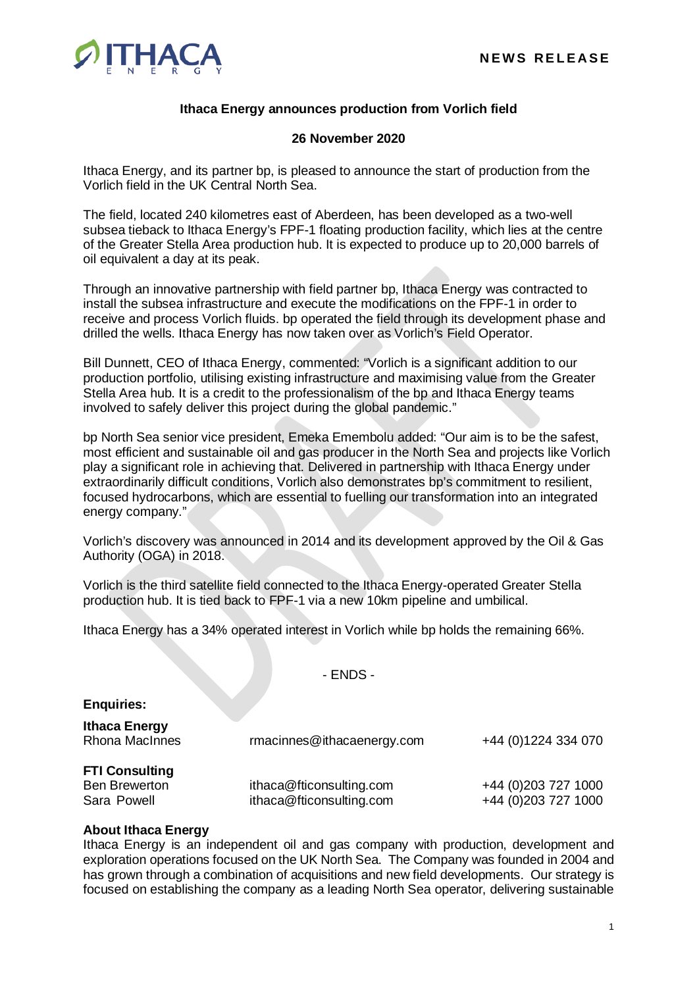

## **Ithaca Energy announces production from Vorlich field**

## **26 November 2020**

Ithaca Energy, and its partner bp, is pleased to announce the start of production from the Vorlich field in the UK Central North Sea.

The field, located 240 kilometres east of Aberdeen, has been developed as a two-well subsea tieback to Ithaca Energy's FPF-1 floating production facility, which lies at the centre of the Greater Stella Area production hub. It is expected to produce up to 20,000 barrels of oil equivalent a day at its peak.

Through an innovative partnership with field partner bp, Ithaca Energy was contracted to install the subsea infrastructure and execute the modifications on the FPF-1 in order to receive and process Vorlich fluids. bp operated the field through its development phase and drilled the wells. Ithaca Energy has now taken over as Vorlich's Field Operator.

Bill Dunnett, CEO of Ithaca Energy, commented: "Vorlich is a significant addition to our production portfolio, utilising existing infrastructure and maximising value from the Greater Stella Area hub. It is a credit to the professionalism of the bp and Ithaca Energy teams involved to safely deliver this project during the global pandemic."

bp North Sea senior vice president, Emeka Emembolu added: "Our aim is to be the safest, most efficient and sustainable oil and gas producer in the North Sea and projects like Vorlich play a significant role in achieving that. Delivered in partnership with Ithaca Energy under extraordinarily difficult conditions, Vorlich also demonstrates bp's commitment to resilient, focused hydrocarbons, which are essential to fuelling our transformation into an integrated energy company."

Vorlich's discovery was announced in 2014 and its development approved by the Oil & Gas Authority (OGA) in 2018.

Vorlich is the third satellite field connected to the Ithaca Energy-operated Greater Stella production hub. It is tied back to FPF-1 via a new 10km pipeline and umbilical.

Ithaca Energy has a 34% operated interest in Vorlich while bp holds the remaining 66%.

- ENDS -

| rmacinnes@ithacaenergy.com | +44 (0)1224 334 070                        |  |
|----------------------------|--------------------------------------------|--|
| ithaca@fticonsulting.com   | +44 (0)203 727 1000<br>+44 (0)203 727 1000 |  |
|                            | ithaca@fticonsulting.com                   |  |

## **About Ithaca Energy**

Ithaca Energy is an independent oil and gas company with production, development and exploration operations focused on the UK North Sea. The Company was founded in 2004 and has grown through a combination of acquisitions and new field developments. Our strategy is focused on establishing the company as a leading North Sea operator, delivering sustainable